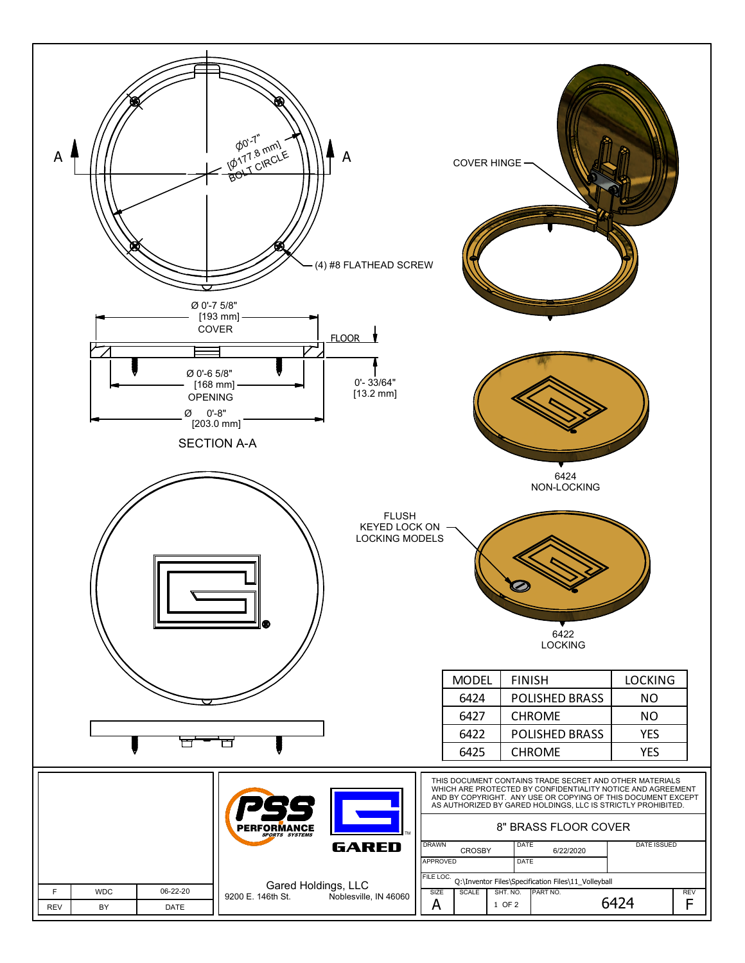